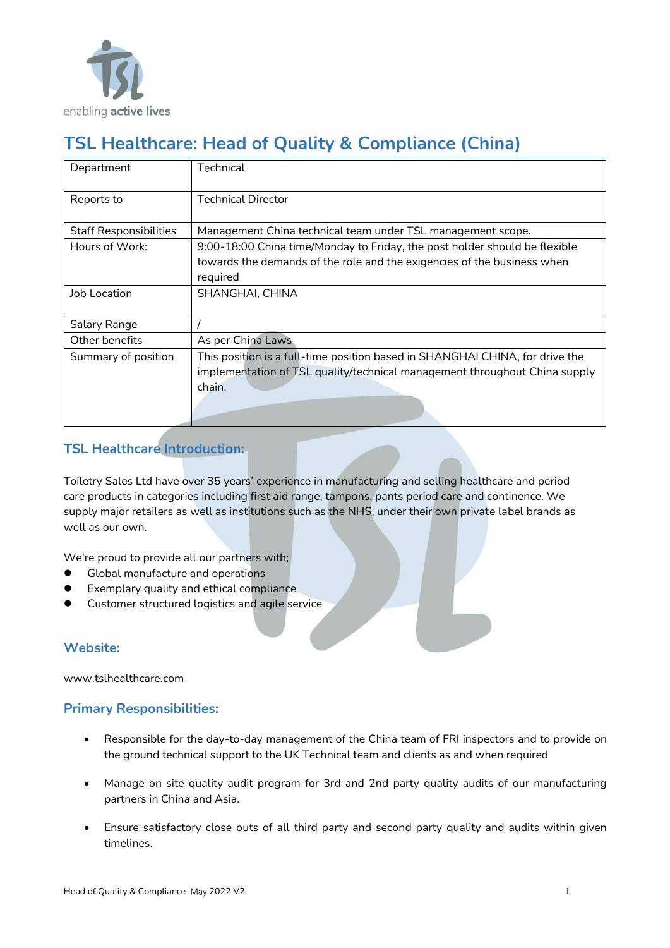

# **TSL Healthcare: Head of Quality & Compliance (China)**

| Department                    | Technical                                                                    |
|-------------------------------|------------------------------------------------------------------------------|
| Reports to                    | <b>Technical Director</b>                                                    |
| <b>Staff Responsibilities</b> | Management China technical team under TSL management scope.                  |
| Hours of Work:                | 9:00-18:00 China time/Monday to Friday, the post holder should be flexible   |
|                               | towards the demands of the role and the exigencies of the business when      |
|                               | required                                                                     |
| Job Location                  | SHANGHAI, CHINA                                                              |
| Salary Range                  |                                                                              |
| Other benefits                | As per China Laws                                                            |
| Summary of position           | This position is a full-time position based in SHANGHAI CHINA, for drive the |
|                               | implementation of TSL quality/technical management throughout China supply   |
|                               | chain.                                                                       |

## **TSL Healthcare Introduction:**

Toiletry Sales Ltd have over 35 years' experience in manufacturing and selling healthcare and period care products in categories including first aid range, tampons, pants period care and continence. We supply major retailers as well as institutions such as the NHS, under their own private label brands as well as our own.

We're proud to provide all our partners with;

- ⚫ Global manufacture and operations
- Exemplary quality and ethical compliance
- ⚫ Customer structured logistics and agile service

### **Website:**

www.tslhealthcare.com

### **Primary Responsibilities:**

- Responsible for the day-to-day management of the China team of FRI inspectors and to provide on the ground technical support to the UK Technical team and clients as and when required
- Manage on site quality audit program for 3rd and 2nd party quality audits of our manufacturing partners in China and Asia.
- Ensure satisfactory close outs of all third party and second party quality and audits within given timelines.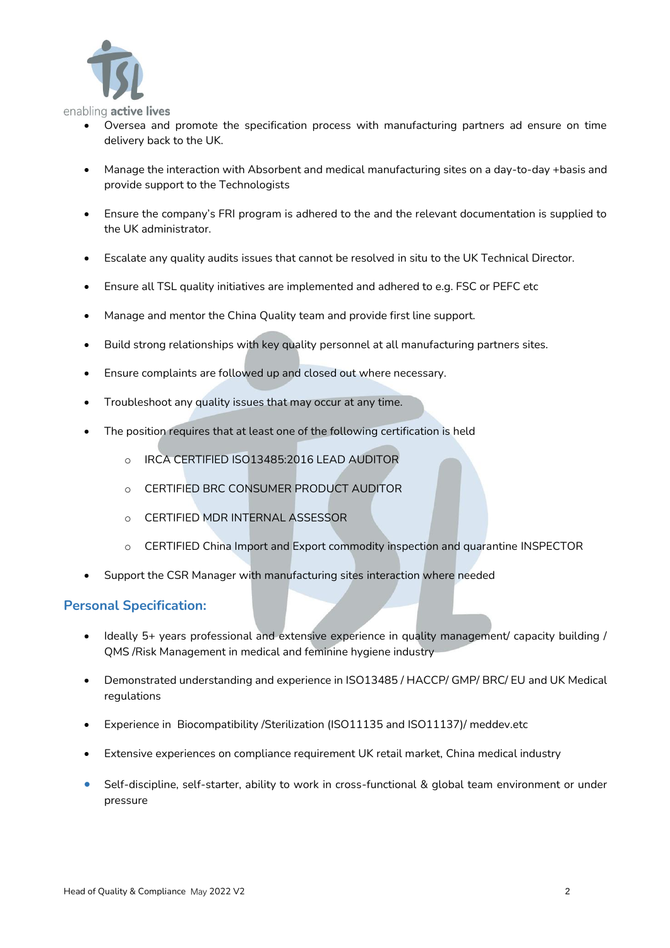

enabling active lives

- Oversea and promote the specification process with manufacturing partners ad ensure on time delivery back to the UK.
- Manage the interaction with Absorbent and medical manufacturing sites on a day-to-day +basis and provide support to the Technologists
- Ensure the company's FRI program is adhered to the and the relevant documentation is supplied to the UK administrator.
- Escalate any quality audits issues that cannot be resolved in situ to the UK Technical Director.
- Ensure all TSL quality initiatives are implemented and adhered to e.g. FSC or PEFC etc
- Manage and mentor the China Quality team and provide first line support.
- Build strong relationships with key quality personnel at all manufacturing partners sites.
- Ensure complaints are followed up and closed out where necessary.
- Troubleshoot any quality issues that may occur at any time.
- The position requires that at least one of the following certification is held
	- o IRCA CERTIFIED ISO13485:2016 LEAD AUDITOR
	- o CERTIFIED BRC CONSUMER PRODUCT AUDITOR
	- o CERTIFIED MDR INTERNAL ASSESSOR
	- o CERTIFIED China Import and Export commodity inspection and quarantine INSPECTOR
- Support the CSR Manager with manufacturing sites interaction where needed

### **Personal Specification:**

- Ideally 5+ years professional and extensive experience in quality management/ capacity building / QMS /Risk Management in medical and feminine hygiene industry
- Demonstrated understanding and experience in ISO13485 / HACCP/ GMP/ BRC/ EU and UK Medical regulations
- Experience in Biocompatibility /Sterilization (ISO11135 and ISO11137)/ meddev.etc
- Extensive experiences on compliance requirement UK retail market, China medical industry
- Self-discipline, self-starter, ability to work in cross-functional & global team environment or under pressure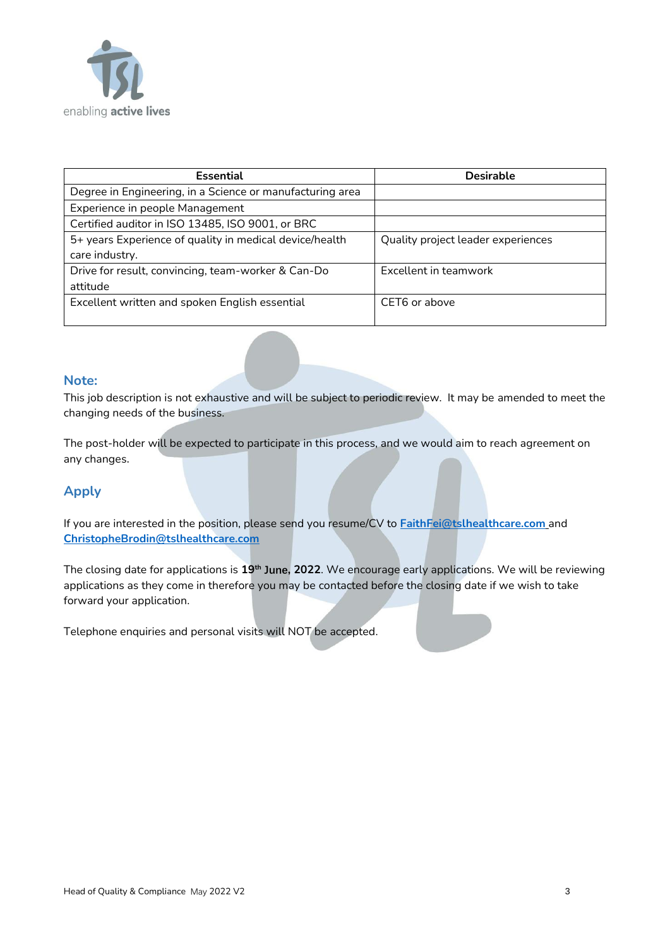

| <b>Essential</b>                                          | <b>Desirable</b>                   |
|-----------------------------------------------------------|------------------------------------|
| Degree in Engineering, in a Science or manufacturing area |                                    |
| Experience in people Management                           |                                    |
| Certified auditor in ISO 13485, ISO 9001, or BRC          |                                    |
| 5+ years Experience of quality in medical device/health   | Quality project leader experiences |
| care industry.                                            |                                    |
| Drive for result, convincing, team-worker & Can-Do        | Excellent in teamwork              |
| attitude                                                  |                                    |
| Excellent written and spoken English essential            | CET6 or above                      |
|                                                           |                                    |

#### **Note:**

This job description is not exhaustive and will be subject to periodic review. It may be amended to meet the changing needs of the business.

The post-holder will be expected to participate in this process, and we would aim to reach agreement on any changes.

### **Apply**

If you are interested in the position, please send you resume/CV to **[FaithFei@tslhealthcare.com](mailto:FaithFei@tslhealthcare.com)** and **[ChristopheBrodin@tslhealthcare.com](mailto:ChristopheBrodin@tslhealthcare.com)** 

The closing date for applications is **19th June, 2022**. We encourage early applications. We will be reviewing applications as they come in therefore you may be contacted before the closing date if we wish to take forward your application.

Telephone enquiries and personal visits will NOT be accepted.